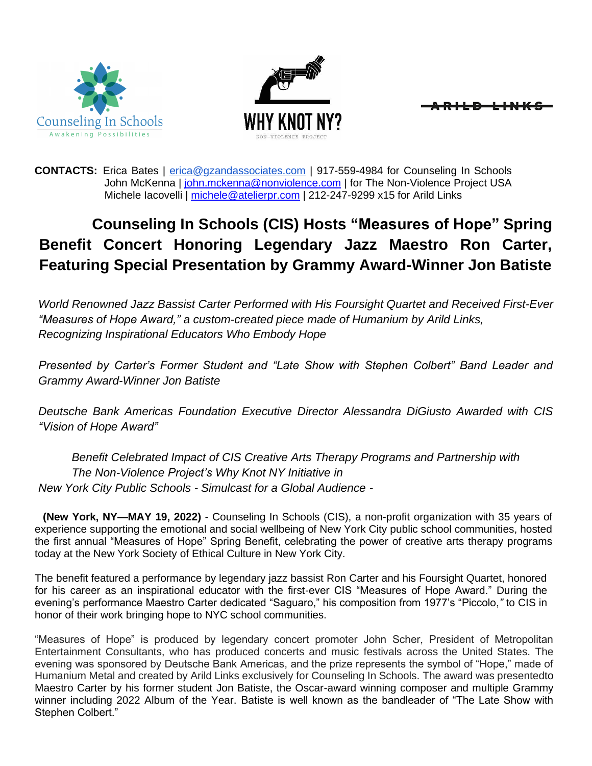



**CONTACTS:** Erica Bates | [erica@gzandassociates.com](mailto:erica@gzandassociates.com) | 917-559-4984 for Counseling In Schools John McKenna | [john.mckenna@nonviolence.com |](mailto:john.mckenna@nonviolence.com) for The Non-Violence Project USA Michele Iacovelli | [michele@atelierpr.com](mailto:michele@atelierpr.com) | 212-247-9299 x15 for Arild Links

# **Counseling In Schools (CIS) Hosts "Measures of Hope" Spring Benefit Concert Honoring Legendary Jazz Maestro Ron Carter, Featuring Special Presentation by Grammy Award-Winner Jon Batiste**

*World Renowned Jazz Bassist Carter Performed with His Foursight Quartet and Received First-Ever "Measures of Hope Award," a custom-created piece made of Humanium by Arild Links, Recognizing Inspirational Educators Who Embody Hope*

*Presented by Carter's Former Student and "Late Show with Stephen Colbert" Band Leader and Grammy Award-Winner Jon Batiste*

*Deutsche Bank Americas Foundation Executive Director Alessandra DiGiusto Awarded with CIS "Vision of Hope Award"*

*Benefit Celebrated Impact of CIS Creative Arts Therapy Programs and Partnership with The Non-Violence Project's Why Knot NY Initiative in New York City Public Schools - Simulcast for a Global Audience -*

**(New York, NY—MAY 19, 2022)** - Counseling In Schools (CIS), a non-profit organization with 35 years of experience supporting the emotional and social wellbeing of New York City public school communities, hosted the first annual "Measures of Hope" Spring Benefit, celebrating the power of creative arts therapy programs today at the New York Society of Ethical Culture in New York City.

The benefit featured a performance by legendary jazz bassist Ron Carter and his Foursight Quartet, honored for his career as an inspirational educator with the first-ever CIS "Measures of Hope Award." During the evening's performance Maestro Carter dedicated "Saguaro," his composition from 1977's "Piccolo,*"* to CIS in honor of their work bringing hope to NYC school communities.

"Measures of Hope" is produced by legendary concert promoter John Scher, President of Metropolitan Entertainment Consultants, who has produced concerts and music festivals across the United States. The evening was sponsored by Deutsche Bank Americas, and the prize represents the symbol of "Hope," made of Humanium Metal and created by Arild Links exclusively for Counseling In Schools. The award was presentedto Maestro Carter by his former student Jon Batiste, the Oscar-award winning composer and multiple Grammy winner including 2022 Album of the Year. Batiste is well known as the bandleader of "The Late Show with Stephen Colbert."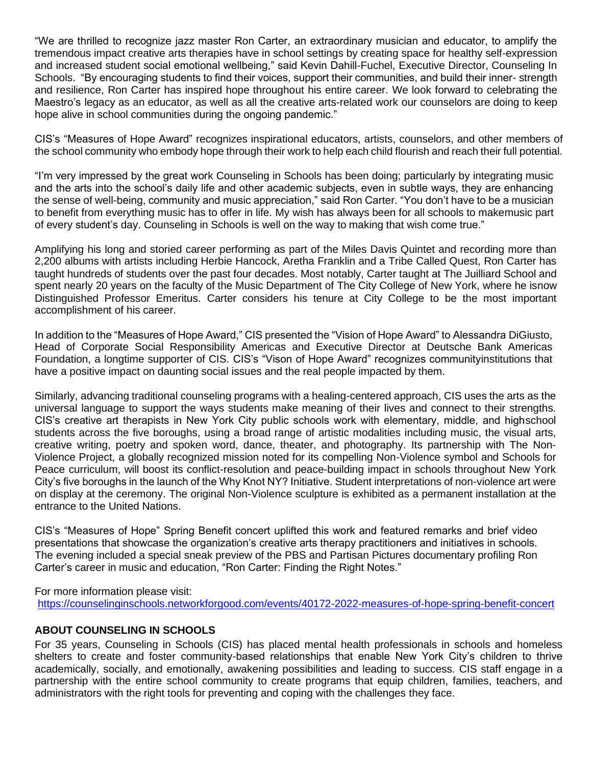"We are thrilled to recognize jazz master Ron Carter, an extraordinary musician and educator, to amplify the tremendous impact creative arts therapies have in school settings by creating space for healthy self-expression and increased student social emotional wellbeing," said Kevin Dahill-Fuchel, Executive Director, Counseling In Schools. "By encouraging students to find their voices, support their communities, and build their inner- strength and resilience, Ron Carter has inspired hope throughout his entire career. We look forward to celebrating the Maestro's legacy as an educator, as well as all the creative arts-related work our counselors are doing to keep hope alive in school communities during the ongoing pandemic."

CIS's "Measures of Hope Award" recognizes inspirational educators, artists, counselors, and other members of the school community who embody hope through their work to help each child flourish and reach their full potential.

"I'm very impressed by the great work Counseling in Schools has been doing; particularly by integrating music and the arts into the school's daily life and other academic subjects, even in subtle ways, they are enhancing the sense of well-being, community and music appreciation," said Ron Carter. "You don't have to be a musician to benefit from everything music has to offer in life. My wish has always been for all schools to makemusic part of every student's day. Counseling in Schools is well on the way to making that wish come true."

Amplifying his long and storied career performing as part of the Miles Davis Quintet and recording more than 2,200 albums with artists including Herbie Hancock, Aretha Franklin and a Tribe Called Quest, Ron Carter has taught hundreds of students over the past four decades. Most notably, Carter taught at The Juilliard School and spent nearly 20 years on the faculty of the Music Department of The City College of New York, where he isnow Distinguished Professor Emeritus. Carter considers his tenure at City College to be the most important accomplishment of his career.

In addition to the "Measures of Hope Award," CIS presented the "Vision of Hope Award" to Alessandra DiGiusto, Head of Corporate Social Responsibility Americas and Executive Director at Deutsche Bank Americas Foundation, a longtime supporter of CIS. CIS's "Vison of Hope Award" recognizes communityinstitutions that have a positive impact on daunting social issues and the real people impacted by them.

Similarly, advancing traditional counseling programs with a healing-centered approach, CIS uses the arts as the universal language to support the ways students make meaning of their lives and connect to their strengths. CIS's creative art therapists in New York City public schools work with elementary, middle, and highschool students across the five boroughs, using a broad range of artistic modalities including music, the visual arts, creative writing, poetry and spoken word, dance, theater, and photography. Its partnership with The Non-Violence Project, a globally recognized mission noted for its compelling Non-Violence symbol and Schools for Peace curriculum, will boost its conflict-resolution and peace-building impact in schools throughout New York City's five boroughs in the launch of the Why Knot NY? Initiative. Student interpretations of non-violence art were on display at the ceremony. The original Non-Violence sculpture is exhibited as a permanent installation at the entrance to the United Nations.

CIS's "Measures of Hope" Spring Benefit concert uplifted this work and featured remarks and brief video presentations that showcase the organization's creative arts therapy practitioners and initiatives in schools. The evening included a special sneak preview of the PBS and Partisan Pictures documentary profiling Ron Carter's career in music and education, "Ron Carter: Finding the Right Notes."

For more information please visit: <https://counselinginschools.networkforgood.com/events/40172-2022-measures-of-hope-spring-benefit-concert>

### **ABOUT COUNSELING IN SCHOOLS**

For 35 years, Counseling in Schools (CIS) has placed mental health professionals in schools and homeless shelters to create and foster community-based relationships that enable New York City's children to thrive academically, socially, and emotionally, awakening possibilities and leading to success. CIS staff engage in a partnership with the entire school community to create programs that equip children, families, teachers, and administrators with the right tools for preventing and coping with the challenges they face.